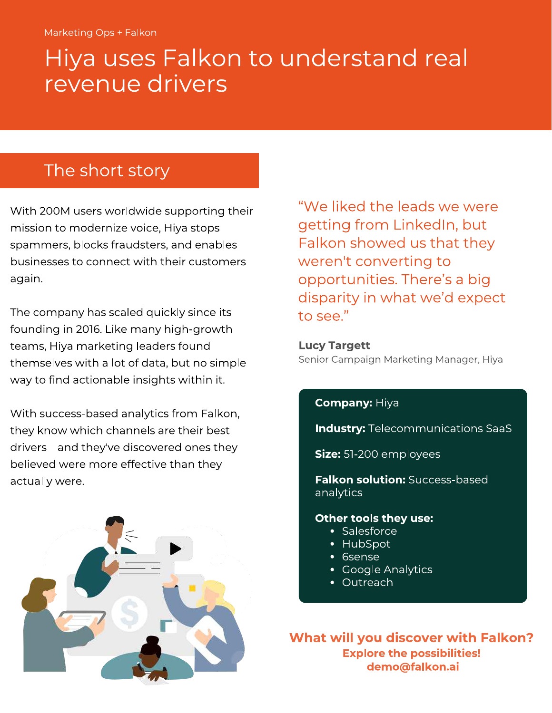# Hiya uses Falkon to understand real revenue drivers

# The short story

With 200M users worldwide supporting their<br>mission to modernize voice, Hiya stops spammers, blocks fraudsters, and enables businesses to connect with their customers businesses to connect with their customers again.

The company has scaled quickly since its<br>founding in 2016. Like many high-growth teams, Hiya marketing leaders found. themselves with a lot of data, but no simple way to find actionable insights within it. way to find actionable insights within it.

With success-based analytics from Falkon,<br>they know which channels are their best they known which channels are their best of drivers—and they've discovered ones they believed were more effective than they<br>actually were. actually were.



"We liked the leads we were getting from Linked In, but Falkon showed us that they Falkon showed us that they weren't converting to<br>enpertunities. There's opportunities. There's a big to see."

Lucy Tary Tre Senior Campaign Marketing Manager, Hiya

#### **Company: Hiya**

**Industry: Telecommunications SaaS** 

Size: 51-200 employees

- Anton solution: Success-based based<br>analytics

# **Other tools they use:**<br>• Salesforce

- 
- HubSpot
- Gsense
- Google Analytics
- $\bullet$  Outreach

What will you discover with Falkon? Explore the possibilities!<br>demo@falkon.ai demo@falkon.ai